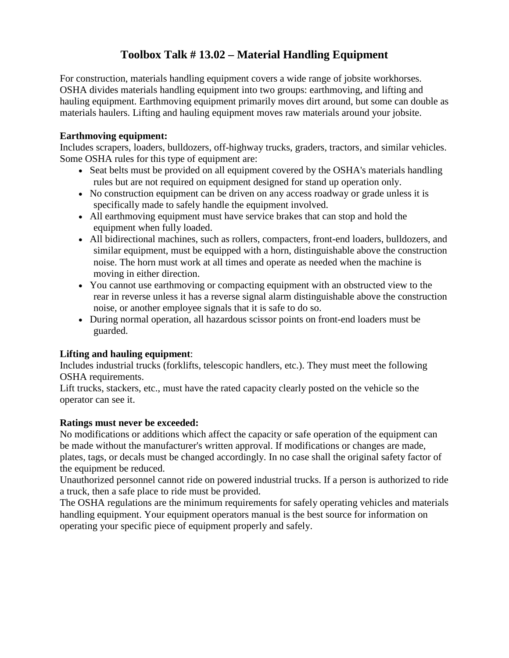### **Toolbox Talk # 13.02 – Material Handling Equipment**

For construction, materials handling equipment covers a wide range of jobsite workhorses. OSHA divides materials handling equipment into two groups: earthmoving, and lifting and hauling equipment. Earthmoving equipment primarily moves dirt around, but some can double as materials haulers. Lifting and hauling equipment moves raw materials around your jobsite.

#### **Earthmoving equipment:**

Includes scrapers, loaders, bulldozers, off-highway trucks, graders, tractors, and similar vehicles. Some OSHA rules for this type of equipment are:

- Seat belts must be provided on all equipment covered by the OSHA's materials handling rules but are not required on equipment designed for stand up operation only.
- No construction equipment can be driven on any access roadway or grade unless it is specifically made to safely handle the equipment involved.
- All earthmoving equipment must have service brakes that can stop and hold the equipment when fully loaded.
- All bidirectional machines, such as rollers, compacters, front-end loaders, bulldozers, and similar equipment, must be equipped with a horn, distinguishable above the construction noise. The horn must work at all times and operate as needed when the machine is moving in either direction.
- You cannot use earthmoving or compacting equipment with an obstructed view to the rear in reverse unless it has a reverse signal alarm distinguishable above the construction noise, or another employee signals that it is safe to do so.
- During normal operation, all hazardous scissor points on front-end loaders must be guarded.

#### **Lifting and hauling equipment**:

Includes industrial trucks (forklifts, telescopic handlers, etc.). They must meet the following OSHA requirements.

Lift trucks, stackers, etc., must have the rated capacity clearly posted on the vehicle so the operator can see it.

#### **Ratings must never be exceeded:**

No modifications or additions which affect the capacity or safe operation of the equipment can be made without the manufacturer's written approval. If modifications or changes are made, plates, tags, or decals must be changed accordingly. In no case shall the original safety factor of the equipment be reduced.

Unauthorized personnel cannot ride on powered industrial trucks. If a person is authorized to ride a truck, then a safe place to ride must be provided.

The OSHA regulations are the minimum requirements for safely operating vehicles and materials handling equipment. Your equipment operators manual is the best source for information on operating your specific piece of equipment properly and safely.